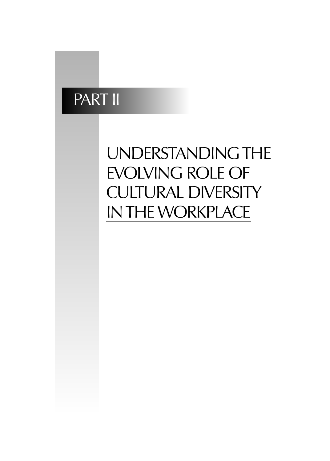# PART II

# UNDERSTANDINGTHE EVOLVING ROLE OF CULTURAL DIVERSITY INTHE WORKPLACE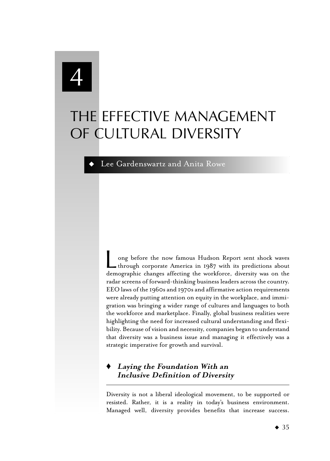# 4

# THE EFFECTIVE MANAGEMENT OF CULTURAL DIVERSITY

Lee Gardenswartz and Anita Rowe

ong before the now famous Hudson Report sent shock waves through corporate America in 1987 with its predictions about demographic changes affecting the workforce, diversity was on the radar screens of forward-thinking business leaders across the country. EEO laws of the 1960s and 1970s and affirmative action requirements were already putting attention on equity in the workplace, and immigration was bringing a wider range of cultures and languages to both the workforce and marketplace. Finally, global business realities were highlighting the need for increased cultural understanding and flexibility. Because of vision and necessity, companies began to understand that diversity was a business issue and managing it effectively was a strategic imperative for growth and survival.

# **♦ Laying the Foundation With an Inclusive Definition of Diversity**

Diversity is not a liberal ideological movement, to be supported or resisted. Rather, it is a reality in today's business environment. Managed well, diversity provides benefits that increase success.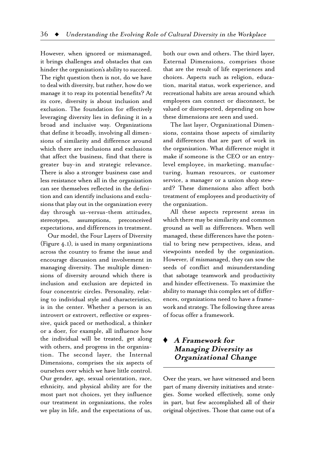However, when ignored or mismanaged, it brings challenges and obstacles that can hinder the organization's ability to succeed. The right question then is not, do we have to deal with diversity, but rather, how do we manage it to reap its potential benefits? At its core, diversity is about inclusion and exclusion. The foundation for effectively leveraging diversity lies in defining it in a broad and inclusive way. Organizations that define it broadly, involving all dimensions of similarity and difference around which there are inclusions and exclusions that affect the business, find that there is greater buy-in and strategic relevance. There is also a stronger business case and less resistance when all in the organization can see themselves reflected in the definition and can identify inclusions and exclusions that play out in the organization every day through us-versus-them attitudes, stereotypes, assumptions, preconceived expectations, and differences in treatment.

Our model, the Four Layers of Diversity (Figure 4.1), is used in many organizations across the country to frame the issue and encourage discussion and involvement in managing diversity. The multiple dimensions of diversity around which there is inclusion and exclusion are depicted in four concentric circles. Personality, relating to individual style and characteristics, is in the center. Whether a person is an introvert or extrovert, reflective or expressive, quick paced or methodical, a thinker or a doer, for example, all influence how the individual will be treated, get along with others, and progress in the organization. The second layer, the Internal Dimensions, comprises the six aspects of ourselves over which we have little control. Our gender, age, sexual orientation, race, ethnicity, and physical ability are for the most part not choices, yet they influence our treatment in organizations, the roles we play in life, and the expectations of us,

both our own and others. The third layer, External Dimensions, comprises those that are the result of life experiences and choices. Aspects such as religion, education, marital status, work experience, and recreational habits are areas around which employees can connect or disconnect, be valued or disrespected, depending on how these dimensions are seen and used.

The last layer, Organizational Dimen sions, contains those aspects of similarity and differences that are part of work in the organization. What difference might it make if someone is the CEO or an entrylevel employee, in marketing, manufacturing, human resources, or customer service, a manager or a union shop steward? These dimensions also affect both treatment of employees and productivity of the organization.

All these aspects represent areas in which there may be similarity and common ground as well as differences. When well managed, these differences have the potential to bring new perspectives, ideas, and viewpoints needed by the organization. However, if mismanaged, they can sow the seeds of conflict and misunderstanding that sabotage teamwork and productivity and hinder effectiveness. To maximize the ability to manage this complex set of differences, organizations need to have a framework and strategy. The following three areas of focus offer a framework.

# **♦ A Framework for Managing Diversity as Organizational Change**

Over the years, we have witnessed and been part of many diversity initiatives and strategies. Some worked effectively, some only in part, but few accomplished all of their original objectives. Those that came out of a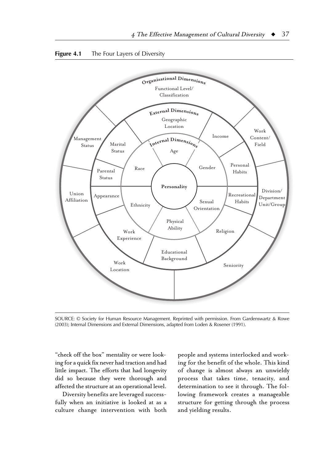



SOURCE: © Society for Human Resource Management. Reprinted with permission. From Gardenswartz & Rowe (2003); Internal Dimensions and External Dimensions, adapted from Loden & Rosener (1991).

"check off the box" mentality or were looking for a quick fix never had traction and had little impact. The efforts that had longevity did so because they were thorough and affected the structure at an operational level.

Diversity benefits are leveraged successfully when an initiative is looked at as a culture change intervention with both

people and systems interlocked and working for the benefit of the whole. This kind of change is almost always an unwieldy process that takes time, tenacity, and determination to see it through. The following framework creates a manageable structure for getting through the process and yielding results.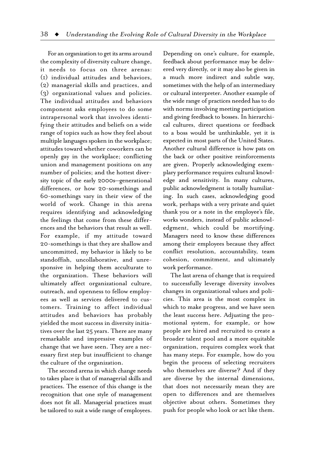For an organization to get its arms around the complexity of diversity culture change, it needs to focus on three arenas: (1) individual attitudes and behaviors, (2) managerial skills and practices, and  $(3)$  organizational values and policies. The individual attitudes and behaviors component asks employees to do some intrapersonal work that involves identifying their attitudes and beliefs on a wide range of topics such as how they feel about multiple languages spoken in the workplace; attitudes toward whether coworkers can be openly gay in the workplace; conflicting union and management positions on any number of policies; and the hottest diversity topic of the early 2000s—generational differences, or how 20-somethings and 60-somethings vary in their view of the world of work. Change in this arena requires identifying and acknowledging the feelings that come from these differences and the behaviors that result as well. For example, if my attitude toward 20-somethings is that they are shallow and uncommitted, my behavior is likely to be standoffish, uncollaborative, and unresponsive in helping them acculturate to the organization. These behaviors will ultimately affect organizational culture, outreach, and openness to fellow employees as well as services delivered to customers. Training to affect individual attitudes and behaviors has probably yielded the most success in diversity initiatives over the last 25 years. There are many remarkable and impressive examples of change that we have seen. They are a necessary first step but insufficient to change the culture of the organization.

The second arena in which change needs to takes place is that of managerial skills and practices. The essence of this change is the recognition that one style of management does not fit all. Managerial practices must be tailored to suit a wide range of employees.

Depending on one's culture, for example, feedback about performance may be delivered very directly, or it may also be given in a much more indirect and subtle way, sometimes with the help of an intermediary or cultural interpreter. Another example of the wide range of practices needed has to do with norms involving meeting participation and giving feedback to bosses. In hierarchical cultures, direct questions or feedback to a boss would be unthinkable, yet it is expected in most parts of the United States. Another cultural difference is how pats on the back or other positive reinforcements are given. Properly acknowledging exemplary performance requires cultural knowledge and sensitivity. In many cultures, public acknowledgment is totally humiliating. In such cases, acknowledging good work, perhaps with a very private and quiet thank you or a note in the employee's file, works wonders, instead of public acknowledgment, which could be mortifying. Managers need to know these differences among their employees because they affect conflict resolution, accountability, team cohesion, commitment, and ultimately work performance.

The last arena of change that is required to successfully leverage diversity involves changes in organizational values and policies. This area is the most complex in which to make progress, and we have seen the least success here. Adjusting the promotional system, for example, or how people are hired and recruited to create a broader talent pool and a more equitable organization, requires complex work that has many steps. For example, how do you begin the process of selecting recruiters who themselves are diverse? And if they are diverse by the internal dimensions, that does not necessarily mean they are open to differences and are themselves objective about others. Sometimes they push for people who look or act like them.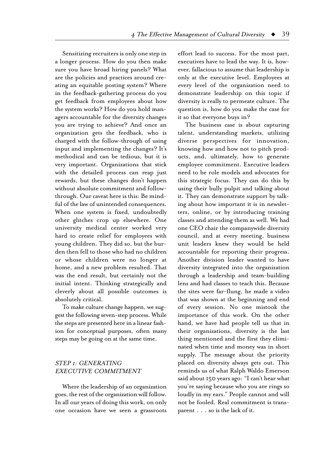Sensitizing recruiters is only one step in a longer process. How do you then make sure you have broad hiring panels? What are the policies and practices around creating an equitable posting system? Where in the feedback-gathering process do you get feedback from employees about how the system works? How do you hold managers accountable for the diversity changes you are trying to achieve? And once an organization gets the feedback, who is charged with the follow-through of using input and implementing the changes? It's methodical and can be tedious, but it is very important. Organizations that stick with the detailed process can reap just rewards, but these changes don't happen without absolute commitment and followthrough. Our caveat here is this: Be mindful of the law of unintended consequences. When one system is fixed, undoubtedly other glitches crop up elsewhere. One university medical center worked very hard to create relief for employees with young children. They did so, but the burden then fell to those who had no children or whose children were no longer at home, and a new problem resulted. That was the end result, but certainly not the initial intent. Thinking strategically and cleverly about all possible outcomes is absolutely critical.

To make culture change happen, we suggest the following seven-step process. While the steps are presented here in a linear fashion for conceptual purposes, often many steps may be going on at the same time.

#### STEP 1: GENERATING EXECUTIVE COMMITMENT

Where the leadership of an organization goes, the rest of the organization will follow. In all our years of doing this work, on only one occasion have we seen a grassroots effort lead to success. For the most part, executives have to lead the way. It is, however, fallacious to assume that leadership is only at the executive level. Employees at every level of the organization need to demonstrate leadership on this topic if diversity is really to permeate culture. The question is, how do you make the case for it so that everyone buys in?

The business case is about capturing talent, understanding markets, utilizing diverse perspectives for innovation, knowing how and how not to pitch products, and, ultimately, how to generate employee commitment. Executive leaders need to be role models and advocates for this strategic focus. They can do this by using their bully pulpit and talking about it. They can demonstrate support by talking about how important it is in newsletters, online, or by introducing training classes and attending them as well. We had one CEO chair the companywide diversity council, and at every meeting, business unit leaders knew they would be held accountable for reporting their progress. Another division leader wanted to have diversity integrated into the organization through a leadership and team-building lens and had classes to teach this. Because the sites were far-flung, he made a video that was shown at the beginning and end of every session. No one mistook the importance of this work. On the other hand, we have had people tell us that in their organizations, diversity is the last thing mentioned and the first they eliminated when time and money was in short supply. The message about the priority placed on diversity always gets out. This reminds us of what Ralph Waldo Emerson said about 150 years ago: "I can't hear what you're saying because who you are rings so loudly in my ears." People cannot and will not be fooled. Real commitment is transparent ... so is the lack of it.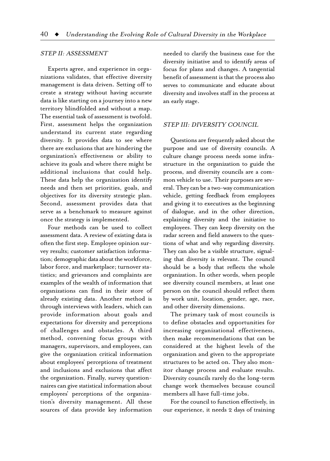#### STEP II: ASSESSMENT

Experts agree, and experience in organizations validates, that effective diversity management is data driven. Setting off to create a strategy without having accurate data is like starting on a journey into a new territory blindfolded and without a map. The essential task of assessment is twofold. First, assessment helps the organization understand its current state regarding diversity. It provides data to see where there are exclusions that are hindering the organization's effectiveness or ability to achieve its goals and where there might be additional inclusions that could help. These data help the organization identify needs and then set priorities, goals, and objectives for its diversity strategic plan. Second, assessment provides data that serve as a benchmark to measure against once the strategy is implemented.

Four methods can be used to collect assessment data. A review of existing data is often the first step. Employee opinion survey results; customer satisfaction information; demographic data about the workforce, labor force, and marketplace; turnover statistics; and grievances and complaints are examples of the wealth of information that organizations can find in their store of already existing data. Another method is through interviews with leaders, which can provide information about goals and expectations for diversity and perceptions of challenges and obstacles. A third method, convening focus groups with managers, supervisors, and employees, can give the organization critical information about employees' perceptions of treatment and inclusions and exclusions that affect the organization. Finally, survey questionnaires can give statistical information about employees' perceptions of the organization's diversity management. All these sources of data provide key information

needed to clarify the business case for the diversity initiative and to identify areas of focus for plans and changes. A tangential benefit of assessment is that the process also serves to communicate and educate about diversity and involves staff in the process at an early stage.

#### STEP III: DIVERSITY COUNCIL

Questions are frequently asked about the purpose and use of diversity councils. A culture change process needs some infrastructure in the organization to guide the process, and diversity councils are a common vehicle to use. Their purposes are several. They can be a two-way communication vehicle, getting feedback from employees and giving it to executives as the beginning of dialogue, and in the other direction, explaining diversity and the initiative to employees. They can keep diversity on the radar screen and field answers to the questions of what and why regarding diversity. They can also be a visible structure, signaling that diversity is relevant. The council should be a body that reflects the whole organization. In other words, when people see diversity council members, at least one person on the council should reflect them by work unit, location, gender, age, race, and other diversity dimensions.

The primary task of most councils is to define obstacles and opportunities for increasing organizational effectiveness, then make recommendations that can be considered at the highest levels of the organization and given to the appropriate structures to be acted on. They also monitor change process and evaluate results. Diversity councils rarely do the long-term change work themselves because council members all have full-time jobs.

For the council to function effectively, in our experience, it needs 2 days of training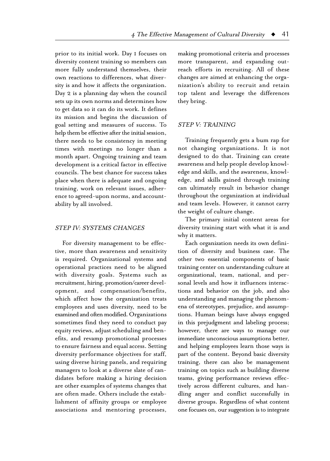prior to its initial work. Day 1 focuses on diversity content training so members can more fully understand themselves, their own reactions to differences, what diversity is and how it affects the organization. Day 2 is a planning day when the council sets up its own norms and determines how to get data so it can do its work. It defines its mission and begins the discussion of goal setting and measures of success. To help them be effective after the initial session, there needs to be consistency in meeting times with meetings no longer than a month apart. Ongoing training and team development is a critical factor in effective councils. The best chance for success takes place when there is adequate and ongoing training, work on relevant issues, adherence to agreed-upon norms, and accountability by all involved.

#### STEP IV: SYSTEMS CHANGES

For diversity management to be effective, more than awareness and sensitivity is required. Organizational systems and operational practices need to be aligned with diversity goals. Systems such as recruitment, hiring, promotion/career development, and compensation/benefits, which affect how the organization treats employees and uses diversity, need to be examined and often modified. Organizations sometimes find they need to conduct pay equity reviews, adjust scheduling and benefits, and revamp promotional processes to ensure fairness and equal access. Setting diversity performance objectives for staff, using diverse hiring panels, and requiring managers to look at a diverse slate of candidates before making a hiring decision are other examples of systems changes that are often made. Others include the establishment of affinity groups or employee associations and mentoring processes,

making promotional criteria and processes more transparent, and expanding outreach efforts in recruiting. All of these changes are aimed at enhancing the organization's ability to recruit and retain top talent and leverage the differences they bring.

#### STEP V: TRAINING

Training frequently gets a bum rap for not changing organizations. It is not designed to do that. Training can create awareness and help people develop knowledge and skills, and the awareness, knowledge, and skills gained through training can ultimately result in behavior change throughout the organization at individual and team levels. However, it cannot carry the weight of culture change.

The primary initial content areas for diversity training start with what it is and why it matters.

Each organization needs its own definition of diversity and business case. The other two essential components of basic training center on understanding culture at organizational, team, national, and personal levels and how it influences interactions and behavior on the job, and also understanding and managing the phenomena of stereotypes, prejudice, and assumptions. Human beings have always engaged in this prejudgment and labeling process; however, there are ways to manage our immediate unconscious assumptions better, and helping employees learn those ways is part of the content. Beyond basic diversity training, there can also be management training on topics such as building diverse teams, giving performance reviews effectively across different cultures, and handling anger and conflict successfully in diverse groups. Regardless of what content one focuses on, our suggestion is to integrate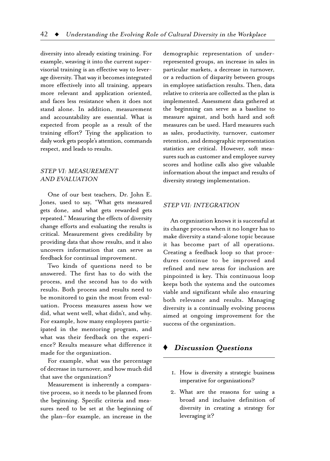diversity into already existing training. For example, weaving it into the current supervisorial training is an effective way to leverage diversity. That way it becomes integrated more effectively into all training, appears more relevant and application oriented, and faces less resistance when it does not stand alone. In addition, measurement and accountability are essential. What is expected from people as a result of the training effort? Tying the application to daily work gets people's attention, commands respect, and leads to results.

#### STEP VI: MEASUREMENT AND EVALUATION

One of our best teachers, Dr. John E. Jones, used to say, "What gets measured gets done, and what gets rewarded gets repeated." Measuring the effects of diversity change efforts and evaluating the results is critical. Measurement gives credibility by providing data that show results, and it also uncovers information that can serve as feedback for continual improvement.

Two kinds of questions need to be answered. The first has to do with the process, and the second has to do with results. Both process and results need to be monitored to gain the most from evaluation. Process measures assess how we did, what went well, what didn't, and why. For example, how many employees participated in the mentoring program, and what was their feedback on the experience? Results measure what difference it made for the organization.

For example, what was the percentage of decrease in turnover, and how much did that save the organization?

Measurement is inherently a comparative process, so it needs to be planned from the beginning. Specific criteria and measures need to be set at the beginning of the plan—for example, an increase in the

demographic representation of underrepresented groups, an increase in sales in particular markets, a decrease in turnover, or a reduction of disparity between groups in employee satisfaction results. Then, data relative to criteria are collected as the plan is implemented. Assessment data gathered at the beginning can serve as a baseline to measure against, and both hard and soft measures can be used. Hard measures such as sales, productivity, turnover, customer retention, and demographic representation statistics are critical. However, soft measures such as customer and employee survey scores and hotline calls also give valuable information about the impact and results of diversity strategy implementation.

#### STEP VII: INTEGRATION

An organization knows it is successful at its change process when it no longer has to make diversity a stand-alone topic because it has become part of all operations. Creating a feedback loop so that procedures continue to be improved and refined and new areas for inclusion are pinpointed is key. This continuous loop keeps both the systems and the outcomes viable and significant while also ensuring both relevance and results. Managing diversity is a continually evolving process aimed at ongoing improvement for the success of the organization.

### **♦ Discussion Questions**

- 1. How is diversity a strategic business imperative for organizations?
- 2. What are the reasons for using a broad and inclusive definition of diversity in creating a strategy for leveraging it?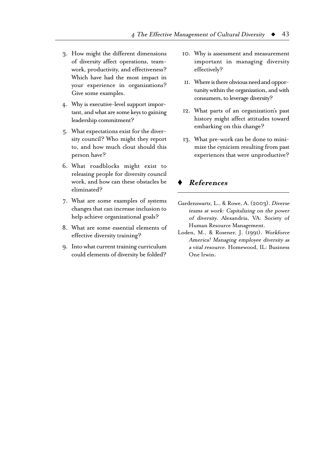- 3. How might the different dimensions of diversity affect operations, teamwork, productivity, and effectiveness? Which have had the most impact in your experience in organizations? Give some examples.
- 4. Why is executive-level support important, and what are some keys to gaining leadership commitment?
- 5. What expectations exist for the diversity council? Who might they report to, and how much clout should this person have?
- 6. What roadblocks might exist to releasing people for diversity council work, and how can these obstacles be eliminated?
- 7. What are some examples of systems changes that can increase inclusion to help achieve organizational goals?
- 8. What are some essential elements of effective diversity training?
- 9. Into what current training curriculum could elements of diversity be folded?
- 10. Why is assessment and measurement important in managing diversity effectively?
- 11. Where is there obvious need and opportunity within the organization, and with consumers, to leverage diversity?
- 12. What parts of an organization's past history might affect attitudes toward embarking on this change?
- 13. What pre-work can be done to minimize the cynicism resulting from past experiences that were unproductive?

### **♦ References**

- Gardenswartz, L., & Rowe, A. (2003). Diverse teams at work: Capitalizing on the power of diversity. Alexandria, VA: Society of Human Resource Management.
- Loden, M., & Rosener, J. (1991). Workforce America! Managing employee diversity as a vital resource. Homewood, IL: Business One Irwin.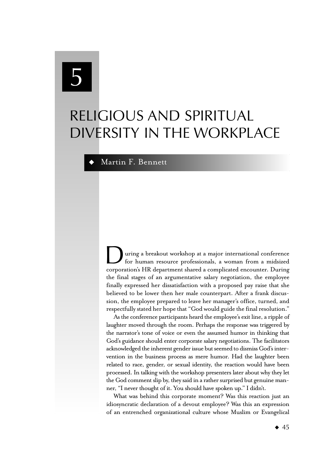# 5

# RELIGIOUS AND SPIRITUAL DIVERSITY IN THE WORKPLACE

## Martin F. Bennett

**During a breakout workshop at a major international conference**<br>for human resource professionals, a woman from a midsized<br>componitor's HP department shared a complicated opequator. During for human resource professionals, a woman from a midsized corporation's HR department shared a complicated encounter. During the final stages of an argumentative salary negotiation, the employee finally expressed her dissatisfaction with a proposed pay raise that she believed to be lower then her male counterpart. After a frank discussion, the employee prepared to leave her manager's office, turned, and respectfully stated her hope that "God would guide the final resolution."

As the conference participants heard the employee's exit line, a ripple of laughter moved through the room. Perhaps the response was triggered by the narrator's tone of voice or even the assumed humor in thinking that God's guidance should enter corporate salary negotiations. The facilitators acknowledged the inherent gender issue but seemed to dismiss God's intervention in the business process as mere humor. Had the laughter been related to race, gender, or sexual identity, the reaction would have been processed. In talking with the workshop presenters later about why they let the God comment slip by, they said in a rather surprised but genuine manner, "I never thought of it. You should have spoken up." I didn't.

What was behind this corporate moment? Was this reaction just an idiosyncratic declaration of a devout employee? Was this an expression of an entrenched organizational culture whose Muslim or Evangelical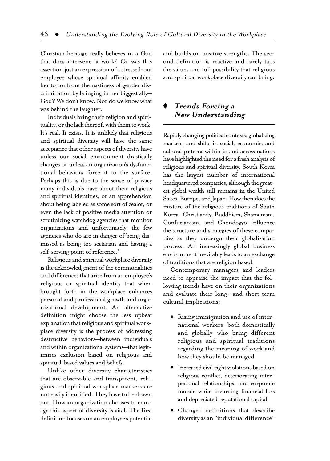Christian heritage really believes in a God that does intervene at work? Or was this assertion just an expression of a stressed-out employee whose spiritual affinity enabled her to confront the nastiness of gender discrimination by bringing in her biggest ally— God? We don't know. Nor do we know what was behind the laughter.

Individuals bring their religion and spirituality, or the lack thereof, with them to work. It's real. It exists. It is unlikely that religious and spiritual diversity will have the same acceptance that other aspects of diversity have unless our social environment drastically changes or unless an organization's dysfunctional behaviors force it to the surface. Perhaps this is due to the sense of privacy many individuals have about their religious and spiritual identities, or an apprehension about being labeled as some sort of zealot, or even the lack of positive media attention or scrutinizing watchdog agencies that monitor organizations—and unfortunately, the few agencies who do are in danger of being dismissed as being too sectarian and having a self-serving point of reference.<sup>1</sup>

Religious and spiritual workplace diversity is the acknowledgment of the commonalities and differences that arise from an employee's religious or spiritual identity that when brought forth in the workplace enhances personal and professional growth and organizational development. An alternative definition might choose the less upbeat explanation that religious and spiritual workplace diversity is the process of addressing destructive behaviors—between individuals and within organizational systems—that legitimizes exclusion based on religious and spiritual-based values and beliefs.

Unlike other diversity characteristics that are observable and transparent, religious and spiritual workplace markers are not easily identified. They have to be drawn out. How an organization chooses to manage this aspect of diversity is vital. The first definition focuses on an employee's potential and builds on positive strengths. The second definition is reactive and rarely taps the values and full possibility that religious and spiritual workplace diversity can bring.

# **♦ Trends Forcing a New Understanding**

Rapidly changing political contexts; globalizing markets; and shifts in social, economic, and cultural patterns within in and across nations have highlighted the need for a fresh analysis of religious and spiritual diversity. South Korea has the largest number of international headquartered companies, although the greatest global wealth still remains in the United States, Europe, and Japan. How then does the mixture of the religious traditions of South Korea—Christianity, Buddhism, Shamanism, Confucianism, and Chondogyo—influence the structure and strategies of these companies as they undergo their globalization process. An increasingly global business environment inevitably leads to an exchange of traditions that are religion based.

Contemporary managers and leaders need to appraise the impact that the following trends have on their organizations and evaluate their long- and short-term cultural implications:

- Rising immigration and use of international workers—both domestically and globally—who bring different religious and spiritual traditions regarding the meaning of work and how they should be managed
- Increased civil right violations based on religious conflict, deteriorating interpersonal relationships, and corporate morale while incurring financial loss and depreciated reputational capital
- Changed definitions that describe diversity as an "individual difference"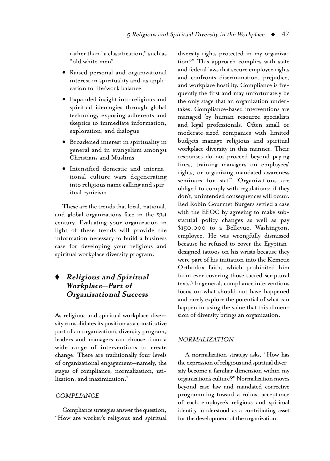rather than "a classification," such as "old white men"

- Raised personal and organizational interest in spirituality and its application to life/work balance
- Expanded insight into religious and spiritual ideologies through global technology exposing adherents and skeptics to immediate information, exploration, and dialogue
- Broadened interest in spirituality in general and in evangelism amongst Christians and Muslims
- Intensified domestic and international culture wars degenerating into religious name calling and spiritual cynicism

These are the trends that local, national, and global organizations face in the 21st century. Evaluating your organization in light of these trends will provide the information necessary to build a business case for developing your religious and spiritual workplace diversity program.

# **♦ Religious and Spiritual Workplace—Part of Organizational Success**

As religious and spiritual workplace diversity consolidates its position as a constitutive part of an organization's diversity program, leaders and managers can choose from a wide range of interventions to create change. There are traditionally four levels of organizational engagement—namely, the stages of compliance, normalization, utilization, and maximization.<sup>2</sup>

#### **COMPLIANCE**

Compliance strategies answer the question, "How are worker's religious and spiritual diversity rights protected in my organization?" This approach complies with state and federal laws that secure employee rights and confronts discrimination, prejudice, and workplace hostility. Compliance is frequently the first and may unfortunately be the only stage that an organization undertakes. Compliance-based interventions are managed by human resource specialists and legal professionals. Often small or moderate-sized companies with limited budgets manage religious and spiritual workplace diversity in this manner. Their responses do not proceed beyond paying fines, training managers on employees' rights, or organizing mandated awareness seminars for staff. Organizations are obliged to comply with regulations; if they don't, unintended consequences will occur. Red Robin Gourmet Burgers settled a case with the EEOC by agreeing to make substantial policy changes as well as pay \$150,000 to a Bellevue, Washington, employee. He was wrongfully dismissed because he refused to cover the Egyptiandesigned tattoos on his wrists because they were part of his initiation into the Kemetic Orthodox faith, which prohibited him from ever covering those sacred scriptural texts.3 In general, compliance interventions focus on what should not have happened and rarely explore the potential of what can happen in using the value that this dimension of diversity brings an organization.

#### NORMALIZATION

A normalization strategy asks, "How has the expression of religious and spiritual diversity become a familiar dimension within my organization's culture?" Normalization moves beyond case law and mandated corrective programming toward a robust acceptance of each employee's religious and spiritual identity, understood as a contributing asset for the development of the organization.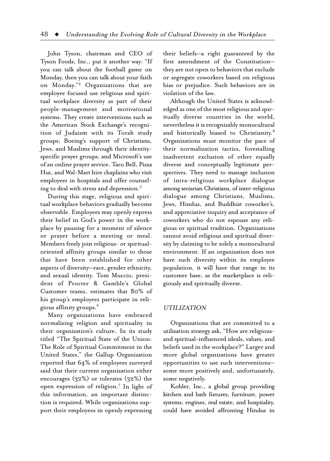John Tyson, chairman and CEO of Tyson Foods, Inc., put it another way: "If you can talk about the football game on Monday, then you can talk about your faith on Monday."4 Organizations that are employee focused use religious and spiritual workplace diversity as part of their people-management and motivational systems. They create interventions such as the American Stock Exchange's recognition of Judaism with its Torah study groups; Boeing's support of Christians, Jews, and Muslims through their identityspecific prayer groups; and Microsoft's use of an online prayer service. Taco Bell, Pizza Hut, and Wal-Mart hire chaplains who visit employees in hospitals and offer counseling to deal with stress and depression.5

During this stage, religious and spiritual workplace behaviors gradually become observable. Employees may openly express their belief in God's power in the workplace by pausing for a moment of silence or prayer before a meeting or meal. Members freely join religious- or spiritualoriented affinity groups similar to those that have been established for other aspects of diversity—race, gender ethnicity, and sexual identity. Tom Muccio, president of Procter & Gamble's Global Customer teams, estimates that 80% of his group's employees participate in religious affinity groups.6

Many organizations have embraced normalizing religion and spirituality in their organization's culture. In its study titled "The Spiritual State of the Union: The Role of Spiritual Commitment in the United States," the Gallup Organization reported that 64% of employees surveyed said that their current organization either encourages (32%) or tolerates (32%) the open expression of religion.7 In light of this information, an important distinction is required. While organizations support their employees in openly expressing their beliefs—a right guaranteed by the first amendment of the Constitution they are not open to behaviors that exclude or segregate coworkers based on religious bias or prejudice. Such behaviors are in violation of the law.

Although the United States is acknowledged as one of the most religious and spiritually diverse countries in the world, nevertheless it is recognizably monocultural and historically biased to Christianity.<sup>8</sup> Organizations must monitor the pace of their normalization tactics, forestalling inadvertent exclusion of other equally diverse and conceptually legitimate perspectives. They need to manage inclusion of intra-religious workplace dialogue among sectarian Christians, of inter-religious dialogue among Christians, Muslims, Jews, Hindus, and Buddhist coworker's, and appreciative inquiry and acceptance of coworkers who do not espouse any religious or spiritual tradition. Organizations cannot avoid religious and spiritual diversity by claiming to be solely a monocultural environment. If an organization does not have such diversity within its employee population, it will have that range in its customer base, as the marketplace is religiously and spiritually diverse.

#### UTILIZATION

Organizations that are committed to a utilization strategy ask, "How are religiousand spiritual-influenced ideals, values, and beliefs used in the workplace?" Larger and more global organizations have greater opportunities to use such interventions some more positively and, unfortunately, some negatively.

Kohler, Inc., a global group providing kitchen and bath fixtures, furniture, power systems, engines, real estate, and hospitality, could have avoided affronting Hindus in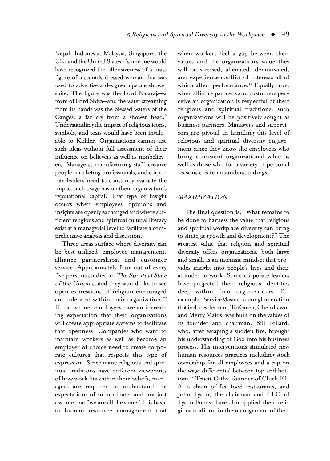Nepal, Indonesia, Malaysia, Singapore, the UK, and the United States if someone would have recognized the offensiveness of a brass figure of a scantily dressed woman that was used to advertise a designer upscale shower suite. The figure was the Lord Nataraja—a form of Lord Shiva—and the water streaming from its hands was the blessed waters of the Ganges, a far cry from a shower head.<sup>9</sup> Understanding the impact of religious icons, symbols, and texts would have been invaluable to Kohler. Organizations cannot use such ideas without full assessment of their influence on believers as well as nonbelievers. Managers, manufacturing staff, creative people, marketing professionals, and corporate leaders need to constantly evaluate the impact such usage has on their organization's reputational capital. That type of insight occurs when employees' opinions and insights are openly exchanged and where sufficient religious and spiritual cultural literacy exist at a managerial level to facilitate a comprehensive analysis and discussion.

Three areas surface where diversity can be best utilized—employee management, alliance partnerships, and customer service. Approximately four out of every five persons studied in The Spiritual State of the Union stated they would like to see open expressions of religion encouraged and tolerated within their organization.<sup>10</sup> If that is true, employees have an increasing expectation that their organizations will create appropriate systems to facilitate that openness. Companies who want to maintain workers as well as become an employer of choice need to create corporate cultures that respects this type of expression. Since many religious and spiritual traditions have different viewpoints of how work fits within their beliefs, managers are required to understand the expectations of subordinates and not just assume that "we are all the same." It is basic to human resource management that

when workers feel a gap between their values and the organization's value they will be stressed, alienated, demotivated, and experience conflict of interests all of which affect performance.<sup>11</sup> Equally true, when alliance partners and customers perceive an organization is respectful of their religious and spiritual traditions, such organizations will be positively sought as business partners. Managers and supervisors are pivotal in handling this level of religious and spiritual diversity engagement since they know the employees who bring consistent organizational value as well as those who for a variety of personal reasons create misunderstandings.

#### MAXIMIZATION

The final question is, "What remains to be done to harness the value that religious and spiritual workplace diversity can bring to strategic growth and development?" The greatest value that religion and spiritual diversity offers organizations, both large and small, is an intrinsic mindset that provides insight into people's lives and their attitudes to work. Some corporate leaders have projected their religious identities deep within their organizations. For example, ServiceMaster, a conglomeration that includes Termini, TruGreen, ChemLawn, and Merry Maids, was built on the values of its founder and chairman, Bill Pollard, who, after escaping a sudden fire, brought his understanding of God into his business process. His interventions stimulated new human resources practices including stock ownership for all employees and a cap on the wage differential between top and bottom.12 Truett Cathy, founder of Chick-Fil-A, a chain of fast-food restaurants, and John Tyson, the chairman and CEO of Tyson Foods, have also applied their religious tradition in the management of their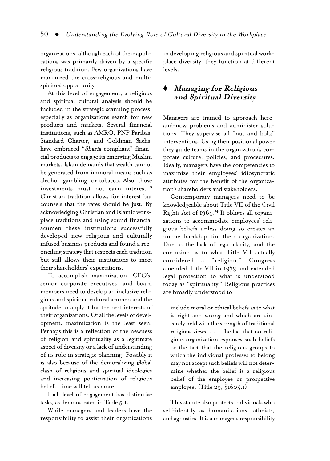organizations, although each of their applications was primarily driven by a specific religious tradition. Few organizations have maximized the cross-religious and multispiritual opportunity.

At this level of engagement, a religious and spiritual cultural analysis should be included in the strategic scanning process, especially as organizations search for new products and markets. Several financial institutions, such as AMRO, PNP Paribas, Standard Charter, and Goldman Sachs, have embraced "Sharia-compliant" financial products to engage its emerging Muslim markets. Islam demands that wealth cannot be generated from immoral means such as alcohol, gambling, or tobacco. Also, those investments must not earn interest.<sup>13</sup> Christian tradition allows for interest but counsels that the rates should be just. By acknowledging Christian and Islamic workplace traditions and using sound financial acumen these institutions successfully developed new religious and culturally infused business products and found a reconciling strategy that respects each tradition but still allows their institutions to meet their shareholders' expectations.

To accomplish maximization, CEO's, senior corporate executives, and board members need to develop an inclusive religious and spiritual cultural acumen and the aptitude to apply it for the best interests of their organizations. Of all the levels of development, maximization is the least seen. Perhaps this is a reflection of the newness of religion and spirituality as a legitimate aspect of diversity or a lack of understanding of its role in strategic planning. Possibly it is also because of the demoralizing global clash of religious and spiritual ideologies and increasing politicization of religious belief. Time will tell us more.

Each level of engagement has distinctive tasks, as demonstrated in Table 5.1.

While managers and leaders have the responsibility to assist their organizations in developing religious and spiritual workplace diversity, they function at different levels.

## **♦ Managing for Religious and Spiritual Diversity**

Managers are trained to approach hereand-now problems and administer solutions. They supervise all "nut and bolts" interventions. Using their positional power they guide teams in the organization's corporate culture, policies, and procedures. Ideally, managers have the competencies to maximize their employees' idiosyncratic attributes for the benefit of the organization's shareholders and stakeholders.

Contemporary managers need to be knowledgeable about Title VII of the Civil Rights Act of 1964.14 It obliges all organizations to accommodate employees' religious beliefs unless doing so creates an undue hardship for their organization. Due to the lack of legal clarity, and the confusion as to what Title VII actually considered a "religion," Congress amended Title VII in 1973 and extended legal protection to what is understood today as "spirituality." Religious practices are broadly understood to

include moral or ethical beliefs as to what is right and wrong and which are sincerely held with the strength of traditional religious views. ... The fact that no religious organization espouses such beliefs or the fact that the religious groups to which the individual professes to belong may not accept such beliefs will not determine whether the belief is a religious belief of the employee or prospective employee. (Title 29, §1605.1)

This statute also protects individuals who self-identify as humanitarians, atheists, and agnostics. It is a manager's responsibility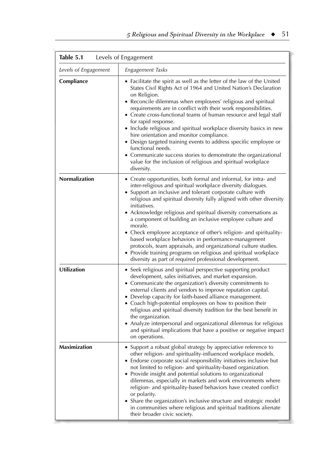| Table 5.1<br>Levels of Engagement |                                                                                                                                                                                                                                                                                                                                                                                                                                                                                                                                                                                                                                                                                                                                                                   |
|-----------------------------------|-------------------------------------------------------------------------------------------------------------------------------------------------------------------------------------------------------------------------------------------------------------------------------------------------------------------------------------------------------------------------------------------------------------------------------------------------------------------------------------------------------------------------------------------------------------------------------------------------------------------------------------------------------------------------------------------------------------------------------------------------------------------|
| Levels of Engagement              | Engagement Tasks                                                                                                                                                                                                                                                                                                                                                                                                                                                                                                                                                                                                                                                                                                                                                  |
| Compliance                        | • Facilitate the spirit as well as the letter of the law of the United<br>States Civil Rights Act of 1964 and United Nation's Declaration<br>on Religion.<br>• Reconcile dilemmas when employees' religious and spiritual<br>requirements are in conflict with their work responsibilities.<br>• Create cross-functional teams of human resource and legal staff<br>for rapid response.<br>• Include religious and spiritual workplace diversity basics in new<br>hire orientation and monitor compliance.<br>• Design targeted training events to address specific employee or<br>functional needs.<br>• Communicate success stories to demonstrate the organizational<br>value for the inclusion of religious and spiritual workplace<br>diversity.             |
| <b>Normalization</b>              | • Create opportunities, both formal and informal, for intra- and<br>inter-religious and spiritual workplace diversity dialogues.<br>• Support an inclusive and tolerant corporate culture with<br>religious and spiritual diversity fully aligned with other diversity<br>initiatives.<br>• Acknowledge religious and spiritual diversity conversations as<br>a component of building an inclusive employee culture and<br>morale.<br>• Check employee acceptance of other's religion- and spirituality-<br>based workplace behaviors in performance-management<br>protocols, team appraisals, and organizational culture studies.<br>• Provide training programs on religious and spiritual workplace<br>diversity as part of required professional development. |
| <b>Utilization</b>                | • Seek religious and spiritual perspective supporting product<br>development, sales initiatives, and market expansion.<br>• Communicate the organization's diversity commitments to<br>external clients and vendors to improve reputation capital.<br>• Develop capacity for faith-based alliance management.<br>• Coach high-potential employees on how to position their<br>religious and spiritual diversity tradition for the best benefit in<br>the organization.<br>• Analyze interpersonal and organizational dilemmas for religious<br>and spiritual implications that have a positive or negative impact<br>on operations.                                                                                                                               |
| <b>Maximization</b>               | • Support a robust global strategy by appreciative reference to<br>other religion- and spirituality-influenced workplace models.<br>• Endorse corporate social responsibility initiatives inclusive but<br>not limited to religion- and spirituality-based organization.<br>• Provide insight and potential solutions to organizational<br>dilemmas, especially in markets and work environments where<br>religion- and spirituality-based behaviors have created conflict<br>or polarity.<br>• Share the organization's inclusive structure and strategic model<br>in communities where religious and spiritual traditions alienate<br>their broader civic society.                                                                                              |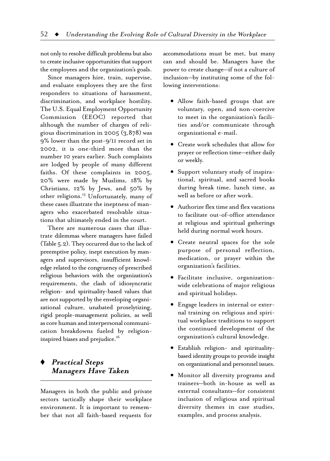not only to resolve difficult problems but also to create inclusive opportunities that support the employees and the organization's goals.

Since managers hire, train, supervise, and evaluate employees they are the first responders to situations of harassment, discrimination, and workplace hostility. The U.S. Equal Employment Opportunity Commission (EEOC) reported that although the number of charges of religious discrimination in 2005 (3,878) was 9% lower than the post-9/11 record set in 2002, it is one-third more than the number 10 years earlier. Such complaints are lodged by people of many different faiths. Of these complaints in 2005, 20% were made by Muslims, 18% by Christians, 12% by Jews, and 50% by other religions.<sup>15</sup> Unfortunately, many of these cases illustrate the ineptness of managers who exacerbated resolvable situations that ultimately ended in the court.

There are numerous cases that illustrate dilemmas where managers have failed (Table 5.2). They occurred due to the lack of preemptive policy, inept execution by managers and supervisors, insufficient knowledge related to the congruency of prescribed religious behaviors with the organization's requirements, the clash of idiosyncratic religion- and spirituality-based values that are not supported by the enveloping organizational culture, unabated proselytizing, rigid people-management policies, as well as core human and interpersonal communication breakdowns fueled by religioninspired biases and prejudice.<sup>16</sup>

# **♦ Practical Steps Managers Have Taken**

Managers in both the public and private sectors tactically shape their workplace environment. It is important to remember that not all faith-based requests for accommodations must be met, but many can and should be. Managers have the power to create change—if not a culture of inclusion—by instituting some of the following interventions:

- Allow faith-based groups that are voluntary, open, and non-coercive to meet in the organization's facilities and/or communicate through organizational e-mail.
- Create work schedules that allow for prayer or reflection time—either daily or weekly.
- Support voluntary study of inspirational, spiritual, and sacred books during break time, lunch time, as well as before or after work.
- Authorize flex time and flex vacations to facilitate out-of-office attendance at religious and spiritual gatherings held during normal work hours.
- Create neutral spaces for the sole purpose of personal reflection, medication, or prayer within the organization's facilities.
- Facilitate inclusive, organizationwide celebrations of major religious and spiritual holidays.
- Engage leaders in internal or external training on religious and spiritual workplace traditions to support the continued development of the organization's cultural knowledge.
- Establish religion- and spiritualitybased identity groups to provide insight on organizational and personnel issues.
- Monitor all diversity programs and trainers—both in-house as well as external consultants—for consistent inclusion of religious and spiritual diversity themes in case studies, examples, and process analysis.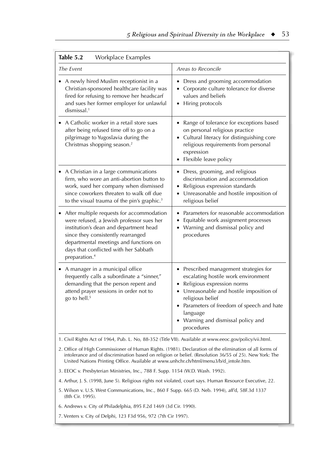| Table 5.2<br>Workplace Examples                                                                                                                                                                                                                                                        |                                                                                                                                                                                                                                                                                       |  |
|----------------------------------------------------------------------------------------------------------------------------------------------------------------------------------------------------------------------------------------------------------------------------------------|---------------------------------------------------------------------------------------------------------------------------------------------------------------------------------------------------------------------------------------------------------------------------------------|--|
| The Event                                                                                                                                                                                                                                                                              | Areas to Reconcile                                                                                                                                                                                                                                                                    |  |
| A newly hired Muslim receptionist in a<br>Christian-sponsored healthcare facility was<br>fired for refusing to remove her headscarf<br>and sues her former employer for unlawful<br>dismissal. <sup>1</sup>                                                                            | Dress and grooming accommodation<br>Corporate culture tolerance for diverse<br>values and beliefs<br>Hiring protocols                                                                                                                                                                 |  |
| A Catholic worker in a retail store sues<br>after being refused time off to go on a<br>pilgrimage to Yugoslavia during the<br>Christmas shopping season. <sup>2</sup>                                                                                                                  | Range of tolerance for exceptions based<br>on personal religious practice<br>Cultural literacy for distinguishing core<br>religious requirements from personal<br>expression<br>Flexible leave policy<br>$\bullet$                                                                    |  |
| A Christian in a large communications<br>firm, who wore an anti-abortion button to<br>work, sued her company when dismissed<br>since coworkers threaten to walk off due<br>to the visual trauma of the pin's graphic. <sup>3</sup>                                                     | • Dress, grooming, and religious<br>discrimination and accommodation<br>Religious expression standards<br>Unreasonable and hostile imposition of<br>religious belief                                                                                                                  |  |
| After multiple requests for accommodation<br>were refused, a Jewish professor sues her<br>institution's dean and department head<br>since they consistently rearranged<br>departmental meetings and functions on<br>days that conflicted with her Sabbath<br>preparation. <sup>4</sup> | Parameters for reasonable accommodation<br>Equitable work assignment processes<br>Warning and dismissal policy and<br>procedures                                                                                                                                                      |  |
| A manager in a municipal office<br>frequently calls a subordinate a "sinner,"<br>demanding that the person repent and<br>attend prayer sessions in order not to<br>go to hell. <sup>5</sup>                                                                                            | • Prescribed management strategies for<br>escalating hostile work environment<br>Religious expression norms<br>• Unreasonable and hostile imposition of<br>religious belief<br>Parameters of freedom of speech and hate<br>language<br>Warning and dismissal policy and<br>procedures |  |

- intolerance and of discrimination based on religion or belief. (Resolution 36/55 of 25). New York: The United Nations Printing Office. Available at www.unhchr.ch/html/menu3/b/d\_intole.htm.
- 3. EEOC v. Presbyterian Ministries, Inc., 788 F. Supp. 1154 (W.D. Wash. 1992).
- 4. Arthur, J. S. (1998, June 5). Religious rights not violated, court says. Human Resource Executive, 22.
- 5. Wilson v. U.S. West Communications, Inc., 860 F Supp. 665 (D. Neb. 1994), aff'd, 58F.3d 1337 (8th Cir. 1995).
- 6. Andrews v. City of Philadelphia, 895 F.2d 1469 (3d Cir. 1990).

7. Venters v. City of Delphi, 123 F3d 956, 972 (7th Cir 1997).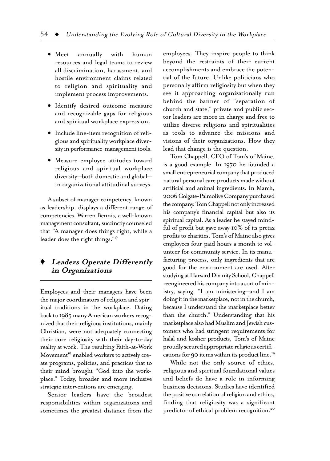- Meet annually with human resources and legal teams to review all discrimination, harassment, and hostile environment claims related to religion and spirituality and implement process improvements.
- Identify desired outcome measure and recognizable gaps for religious and spiritual workplace expression.
- Include line-item recognition of religious and spirituality workplace diversity in performance-management tools.
- Measure employee attitudes toward religious and spiritual workplace diversity—both domestic and global in organizational attitudinal surveys.

A subset of manager competency, known as leadership, displays a different range of competencies. Warren Bennis, a well-known management consultant, succinctly counseled that "A manager does things right, while a leader does the right things."17

# **♦ Leaders Operate Differently in Organizations**

Employees and their managers have been the major coordinators of religion and spiritual traditions in the workplace. Dating back to 1985 many American workers recognized that their religious institutions, mainly Christian, were not adequately connecting their core religiosity with their day-to-day reality at work. The resulting Faith-at-Work Movement<sup>18</sup> enabled workers to actively create programs, policies, and practices that to their mind brought "God into the workplace." Today, broader and more inclusive strategic interventions are emerging.

Senior leaders have the broadest responsibilities within organizations and sometimes the greatest distance from the employees. They inspire people to think beyond the restraints of their current accomplishments and embrace the potential of the future. Unlike politicians who personally affirm religiosity but when they see it approaching organizationally run behind the banner of "separation of church and state," private and public sector leaders are more in charge and free to utilize diverse religions and spiritualities as tools to advance the missions and visions of their organizations. How they lead that change is the question.

Tom Chappell, CEO of Tom's of Maine, is a good example. In 1970 he founded a small entrepreneurial company that produced natural personal care products made without artificial and animal ingredients. In March, 2006 Colgate-Palmolive Company purchased the company. Tom Chappell not only increased his company's financial capital but also its spiritual capital. As a leader he stayed mindful of profit but gave away 10% of its pretax profits to charities. Tom's of Maine also gives employees four paid hours a month to volunteer for community service. In its manufacturing process, only ingredients that are good for the environment are used. After studying at Harvard Divinity School, Chappell reengineered his company into a sort of ministry, saying, "I am ministering—and I am doing it in the marketplace, not in the church, because I understand the marketplace better than the church." Understanding that his marketplace also had Muslim and Jewish customers who had stringent requirements for halal and kosher products, Tom's of Maine proudly secured appropriate religious certifications for 90 items within its product line.<sup>19</sup>

While not the only source of ethics, religious and spiritual foundational values and beliefs do have a role in informing business decisions. Studies have identified the positive correlation of religion and ethics, finding that religiosity was a significant predictor of ethical problem recognition.<sup>20</sup>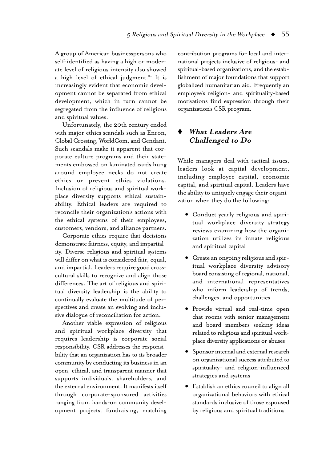A group of American businesspersons who self-identified as having a high or moderate level of religious intensity also showed a high level of ethical judgment.<sup>21</sup> It is increasingly evident that economic development cannot be separated from ethical development, which in turn cannot be segregated from the influence of religious and spiritual values.

Unfortunately, the 20th century ended with major ethics scandals such as Enron, Global Crossing, WorldCom, and Cendant. Such scandals make it apparent that corporate culture programs and their statements embossed on laminated cards hung around employee necks do not create ethics or prevent ethics violations. Inclusion of religious and spiritual workplace diversity supports ethical sustainability. Ethical leaders are required to reconcile their organization's actions with the ethical systems of their employees, customers, vendors, and alliance partners.

Corporate ethics require that decisions demonstrate fairness, equity, and impartiality. Diverse religious and spiritual systems will differ on what is considered fair, equal, and impartial. Leaders require good crosscultural skills to recognize and align those differences. The art of religious and spiritual diversity leadership is the ability to continually evaluate the multitude of perspectives and create an evolving and inclusive dialogue of reconciliation for action.

Another viable expression of religious and spiritual workplace diversity that requires leadership is corporate social responsibility. CSR addresses the responsibility that an organization has to its broader community by conducting its business in an open, ethical, and transparent manner that supports individuals, shareholders, and the external environment. It manifests itself through corporate-sponsored activities ranging from hands-on community development projects, fundraising, matching

contribution programs for local and international projects inclusive of religious- and spiritual-based organizations, and the establishment of major foundations that support globalized humanitarian aid. Frequently an employee's religion- and spirituality-based motivations find expression through their organization's CSR program.

# **♦ What Leaders Are Challenged to Do**

While managers deal with tactical issues, leaders look at capital development, including employee capital, economic capital, and spiritual capital. Leaders have the ability to uniquely engage their organization when they do the following:

- Conduct yearly religious and spiritual workplace diversity strategy reviews examining how the organization utilizes its innate religious and spiritual capital
- Create an ongoing religious and spiritual workplace diversity advisory board consisting of regional, national, and international representatives who inform leadership of trends, challenges, and opportunities
- Provide virtual and real-time open chat rooms with senior management and board members seeking ideas related to religious and spiritual workplace diversity applications or abuses
- Sponsor internal and external research on organizational success attributed to spirituality- and religion-influenced strategies and systems
- Establish an ethics council to align all organizational behaviors with ethical standards inclusive of those espoused by religious and spiritual traditions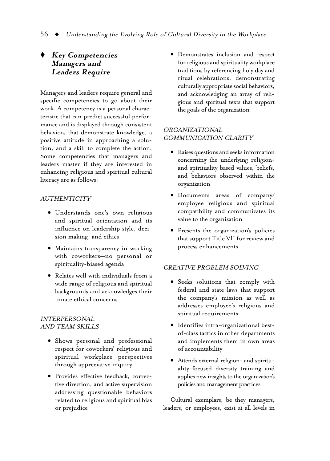# **♦ Key Competencies Managers and Leaders Require**

Managers and leaders require general and specific competencies to go about their work. A competency is a personal characteristic that can predict successful performance and is displayed through consistent behaviors that demonstrate knowledge, a positive attitude in approaching a solution, and a skill to complete the action. Some competencies that managers and leaders master if they are interested in enhancing religious and spiritual cultural literacy are as follows:

#### **AUTHENTICITY**

- Understands one's own religious and spiritual orientation and its influence on leadership style, decision making, and ethics
- Maintains transparency in working with coworkers—no personal or spirituality-biased agenda
- Relates well with individuals from a wide range of religious and spiritual backgrounds and acknowledges their innate ethical concerns

#### INTERPERSONAL AND TEAM SKILLS

- Shows personal and professional respect for coworkers' religious and spiritual workplace perspectives through appreciative inquiry
- Provides effective feedback, corrective direction, and active supervision addressing questionable behaviors related to religious and spiritual bias or prejudice

• Demonstrates inclusion and respect for religious and spirituality workplace traditions by referencing holy day and ritual celebrations, demonstrating culturally appropriate social behaviors, and acknowledging an array of religious and spiritual texts that support the goals of the organization

#### ORGANIZATIONAL COMMUNICATION CLARITY

- Raises questions and seeks information concerning the underlying religionand spirituality based values, beliefs, and behaviors observed within the organization
- Documents areas of company/ employee religious and spiritual compatibility and communicates its value to the organization
- Presents the organization's policies that support Title VII for review and process enhancements

#### CREATIVE PROBLEM SOLVING

- Seeks solutions that comply with federal and state laws that support the company's mission as well as addresses employee's religious and spiritual requirements
- Identifies intra-organizational bestof-class tactics in other departments and implements them in own areas of accountability
- Attends external religion- and spirituality-focused diversity training and applies new insights to the organization's policies and management practices

Cultural exemplars, be they managers, leaders, or employees, exist at all levels in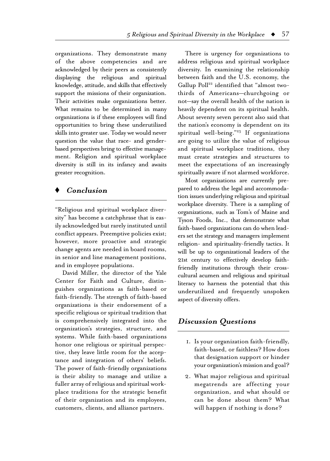organizations. They demonstrate many of the above competencies and are acknowledged by their peers as consistently displaying the religious and spiritual knowledge, attitude, and skills that effectively support the missions of their organization. Their activities make organizations better. What remains to be determined in many organizations is if these employees will find opportunities to bring these underutilized skills into greater use. Today we would never question the value that race- and genderbased perspectives bring to effective manage ment. Religion and spiritual workplace diversity is still in its infancy and awaits greater recognition.

## **♦ Conclusion**

"Religious and spiritual workplace diversity" has become a catchphrase that is easily acknowledged but rarely instituted until conflict appears. Preemptive policies exist; however, more proactive and strategic change agents are needed in board rooms, in senior and line management positions, and in employee populations.

David Miller, the director of the Yale Center for Faith and Culture, distinguishes organizations as faith-based or faith-friendly. The strength of faith-based organizations is their endorsement of a specific religious or spiritual tradition that is comprehensively integrated into the organization's strategies, structure, and systems. While faith-based organizations honor one religious or spiritual perspective, they leave little room for the acceptance and integration of others' beliefs. The power of faith-friendly organizations is their ability to manage and utilize a fuller array of religious and spiritual workplace traditions for the strategic benefit of their organization and its employees, customers, clients, and alliance partners.

There is urgency for organizations to address religious and spiritual workplace diversity. In examining the relationship between faith and the U.S. economy, the Gallup Poll<sup>22</sup> identified that "almost twothirds of Americans—churchgoing or not—say the overall health of the nation is heavily dependent on its spiritual health. About seventy seven percent also said that the nation's economy is dependent on its spiritual well-being."23 If organizations are going to utilize the value of religious and spiritual workplace traditions, they must create strategies and structures to meet the expectations of an increasingly spiritually aware if not alarmed workforce.

Most organizations are currently prepared to address the legal and accommodation issues underlying religious and spiritual workplace diversity. There is a sampling of organizations, such as Tom's of Maine and Tyson Foods, Inc., that demonstrate what faith-based organizations can do when leaders set the strategy and managers implement religion- and spirituality-friendly tactics. It will be up to organizational leaders of the 21st century to effectively develop faithfriendly institutions through their crosscultural acumen and religious and spiritual literacy to harness the potential that this underutilized and frequently unspoken aspect of diversity offers.

### **Discussion Questions**

- 1. Is your organization faith-friendly, faith-based, or faithless? How does that designation support or hinder your organization's mission and goal?
- 2. What major religious and spiritual megatrends are affecting your organization, and what should or can be done about them? What will happen if nothing is done?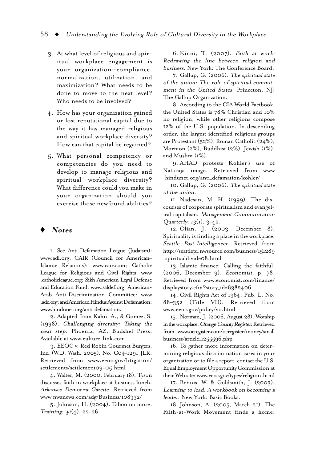- 3. At what level of religious and spiritual workplace engagement is your organization—compliance, normalization, utilization, and maximization? What needs to be done to move to the next level? Who needs to be involved?
- 4. How has your organization gained or lost reputational capital due to the way it has managed religious and spiritual workplace diversity? How can that capital be regained?
- 5. What personal competency or competencies do you need to develop to manage religious and spiritual workplace diversity? What difference could you make in your organization should you exercise those newfound abilities?

## **♦ Notes**

1. See Anti-Defamation League (Judaism): www.adl.org; CAIR (Council for American– Islamic Relations): www.cair.com; Catholic League for Religious and Civil Rights: www .catholicleague.org; Sikh American Legal Defense and Education Fund: www.saldef.org; American-Arab Anti-Discrimination Committee: www .adc.org; and American Hindus Against Defamation: www.hindunet.org/anti\_defamation.

2. Adapted from Kahn, A., & Gomez, S. (1998). Challenging diversity: Taking the next step. Phoenix, AZ: Budshel Press. Available at www.culture-link.com

3. EEOC v. Red Robin Gourmet Burgers, Inc. (W.D. Wash. 2005). No. C04–1291 JLR. Retrieved from www.eeoc.gov/litigation/ settlements/settlement09–05.html

4. Walter, M. (2000, February 18). Tyson discusses faith in workplace at business lunch. Arkansas Democrat-Gazette. Retrieved from www.nwanews.com/adg/Business/108332/

5. Johnson, H. (2004). Taboo no more. Training,  $4I(4)$ , 22-26.

6. Kinni, T. (2007). Faith at work: Redrawing the line between religion and business. New York: The Conference Board.

7. Gallup, G. (2006). The spiritual state of the union: The role of spiritual commitment in the United States. Princeton, NJ: The Gallup Organization.

8. According to the CIA World Factbook, the United States is 78% Christian and 10% no religion, while other religions compose 12% of the U.S. population. In descending order, the largest identified religious groups are Protestant (52%), Roman Catholic (24%), Mormon (2%), Buddhist (2%), Jewish (1%), and Muslim (1%).

9. AHAD protests Kohler's use of Nataraja image. Retrieved from www .hindunet.org/anti\_defamation/kohler/

10. Gallup, G. (2006). The spiritual state of the union.

11. Nadesan, M. H. (1999). The discourses of corporate spiritualism and evangelical capitalism. Management Communication Quarterly,  $13(1)$ ,  $3-42$ .

12. Olian, J. (2003, December 8). Spirituality is finding a place in the workplace. Seattle Post-Intelligencer. Retrieved from http://seattlepi.nwsource.com/business/151289 \_spiritualdivide08.html

13. Islamic finance: Calling the faithful. (2006, December 9). Economist, p. 78. Retrieved from www.economist.com/finance/ displaystory.cfm?story\_id=8382406

14. Civil Rights Act of 1964, Pub. L. No. 88–352 (Title VII). Retrieved from www.eeoc.gov/policy/vii.html

15. Norman, J. (2006, August 28). Worship in the workplace. Orange County Register. Retrieved from www.ocregister.com/ocregister/money/small business/article\_1255596.php

16. To gather more information on determining religious discrimination cases in your organization or to file a report, contact the U.S. Equal Employment Opportunity Commission at their Web site: www.eeoc.gov/types/religion.html

17. Bennis, W. & Goldsmith, J. (2003). Learning to lead: A workbook on becoming a leader. New York: Basic Books.

18. Johnson, A. (2005, March 21). The Faith-at-Work Movement finds a home: